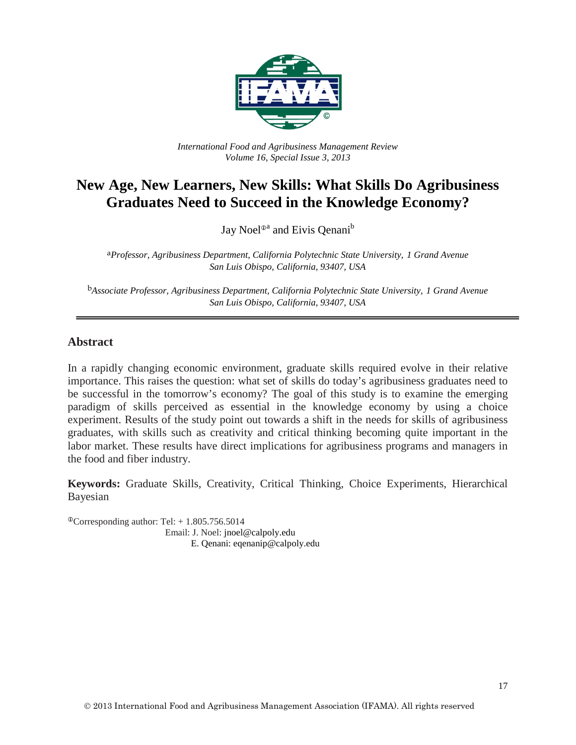

*International Food and Agribusiness Management Review Volume 16, Special Issue 3, 2013*

# **New Age, New Learners, New Skills: What Skills Do Agribusiness Graduates Need to Succeed in the Knowledge Economy?**

Jay Noel<sup>®</sup> and Eivis Qenani<sup>b</sup>

a*Professor, Agribusiness Department, California Polytechnic State University, 1 Grand Avenue San Luis Obispo, California, 93407, USA*

b*Associate Professor, Agribusiness Department, California Polytechnic State University, 1 Grand Avenue San Luis Obispo, California, 93407, USA* 

#### **Abstract**

In a rapidly changing economic environment, graduate skills required evolve in their relative importance. This raises the question: what set of skills do today's agribusiness graduates need to be successful in the tomorrow's economy? The goal of this study is to examine the emerging paradigm of skills perceived as essential in the knowledge economy by using a choice experiment. Results of the study point out towards a shift in the needs for skills of agribusiness graduates, with skills such as creativity and critical thinking becoming quite important in the labor market. These results have direct implications for agribusiness programs and managers in the food and fiber industry.

**Keywords:** Graduate Skills, Creativity, Critical Thinking, Choice Experiments, Hierarchical Bayesian

 $^{\circ}$ Corresponding author: Tel: + 1.805.756.5014 Email: J. Noel: jnoel@calpoly.edu E. Qenani: eqenanip@calpoly.edu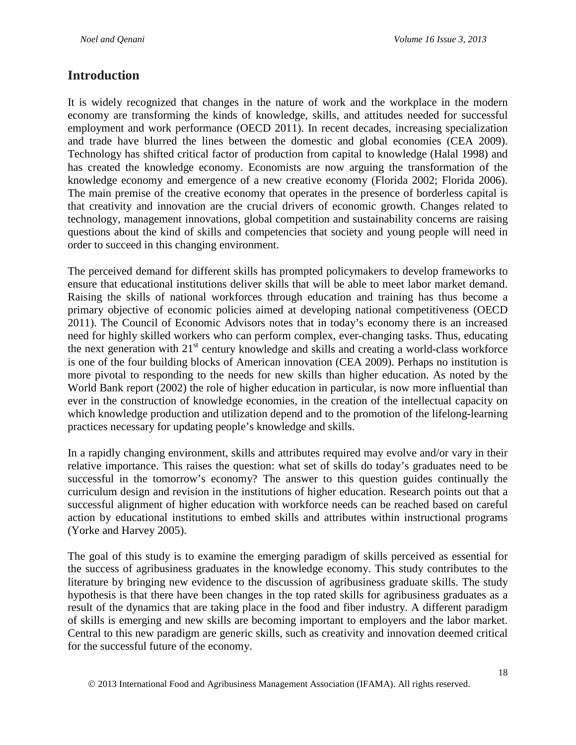### **Introduction**

It is widely recognized that changes in the nature of work and the workplace in the modern economy are transforming the kinds of knowledge, skills, and attitudes needed for successful employment and work performance (OECD 2011). In recent decades, increasing specialization and trade have blurred the lines between the domestic and global economies (CEA 2009). Technology has shifted critical factor of production from capital to knowledge (Halal 1998) and has created the knowledge economy. Economists are now arguing the transformation of the knowledge economy and emergence of a new creative economy (Florida 2002; Florida 2006). The main premise of the creative economy that operates in the presence of borderless capital is that creativity and innovation are the crucial drivers of economic growth. Changes related to technology, management innovations, global competition and sustainability concerns are raising questions about the kind of skills and competencies that society and young people will need in order to succeed in this changing environment.

The perceived demand for different skills has prompted policymakers to develop frameworks to ensure that educational institutions deliver skills that will be able to meet labor market demand. Raising the skills of national workforces through education and training has thus become a primary objective of economic policies aimed at developing national competitiveness (OECD 2011). The Council of Economic Advisors notes that in today's economy there is an increased need for highly skilled workers who can perform complex, ever-changing tasks. Thus, educating the next generation with  $21<sup>st</sup>$  century knowledge and skills and creating a world-class workforce is one of the four building blocks of American innovation (CEA 2009). Perhaps no institution is more pivotal to responding to the needs for new skills than higher education. As noted by the World Bank report (2002) the role of higher education in particular, is now more influential than ever in the construction of knowledge economies, in the creation of the intellectual capacity on which knowledge production and utilization depend and to the promotion of the lifelong-learning practices necessary for updating people's knowledge and skills.

In a rapidly changing environment, skills and attributes required may evolve and/or vary in their relative importance. This raises the question: what set of skills do today's graduates need to be successful in the tomorrow's economy? The answer to this question guides continually the curriculum design and revision in the institutions of higher education. Research points out that a successful alignment of higher education with workforce needs can be reached based on careful action by educational institutions to embed skills and attributes within instructional programs (Yorke and Harvey 2005).

The goal of this study is to examine the emerging paradigm of skills perceived as essential for the success of agribusiness graduates in the knowledge economy. This study contributes to the literature by bringing new evidence to the discussion of agribusiness graduate skills. The study hypothesis is that there have been changes in the top rated skills for agribusiness graduates as a result of the dynamics that are taking place in the food and fiber industry. A different paradigm of skills is emerging and new skills are becoming important to employers and the labor market. Central to this new paradigm are generic skills, such as creativity and innovation deemed critical for the successful future of the economy.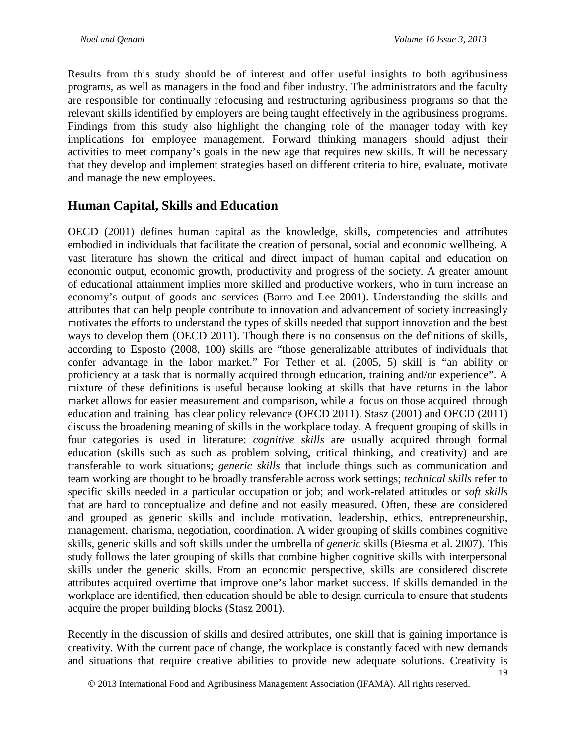Results from this study should be of interest and offer useful insights to both agribusiness programs, as well as managers in the food and fiber industry. The administrators and the faculty are responsible for continually refocusing and restructuring agribusiness programs so that the relevant skills identified by employers are being taught effectively in the agribusiness programs. Findings from this study also highlight the changing role of the manager today with key implications for employee management. Forward thinking managers should adjust their activities to meet company's goals in the new age that requires new skills. It will be necessary that they develop and implement strategies based on different criteria to hire, evaluate, motivate and manage the new employees.

### **Human Capital, Skills and Education**

OECD (2001) defines human capital as the knowledge, skills, competencies and attributes embodied in individuals that facilitate the creation of personal, social and economic wellbeing. A vast literature has shown the critical and direct impact of human capital and education on economic output, economic growth, productivity and progress of the society. A greater amount of educational attainment implies more skilled and productive workers, who in turn increase an economy's output of goods and services (Barro and Lee 2001). Understanding the skills and attributes that can help people contribute to innovation and advancement of society increasingly motivates the efforts to understand the types of skills needed that support innovation and the best ways to develop them (OECD 2011). Though there is no consensus on the definitions of skills, according to Esposto (2008, 100) skills are "those generalizable attributes of individuals that confer advantage in the labor market." For Tether et al. (2005, 5) skill is "an ability or proficiency at a task that is normally acquired through education, training and/or experience". A mixture of these definitions is useful because looking at skills that have returns in the labor market allows for easier measurement and comparison, while a focus on those acquired through education and training has clear policy relevance (OECD 2011). Stasz (2001) and OECD (2011) discuss the broadening meaning of skills in the workplace today. A frequent grouping of skills in four categories is used in literature: *cognitive skills* are usually acquired through formal education (skills such as such as problem solving, critical thinking, and creativity) and are transferable to work situations; *generic skills* that include things such as communication and team working are thought to be broadly transferable across work settings; *technical skills* refer to specific skills needed in a particular occupation or job; and work-related attitudes or *soft skills* that are hard to conceptualize and define and not easily measured. Often, these are considered and grouped as generic skills and include motivation, leadership, ethics, entrepreneurship, management, charisma, negotiation, coordination. A wider grouping of skills combines cognitive skills, generic skills and soft skills under the umbrella of *generic* skills (Biesma et al. 2007). This study follows the later grouping of skills that combine higher cognitive skills with interpersonal skills under the generic skills. From an economic perspective, skills are considered discrete attributes acquired overtime that improve one's labor market success. If skills demanded in the workplace are identified, then education should be able to design curricula to ensure that students acquire the proper building blocks (Stasz 2001).

Recently in the discussion of skills and desired attributes, one skill that is gaining importance is creativity. With the current pace of change, the workplace is constantly faced with new demands and situations that require creative abilities to provide new adequate solutions. Creativity is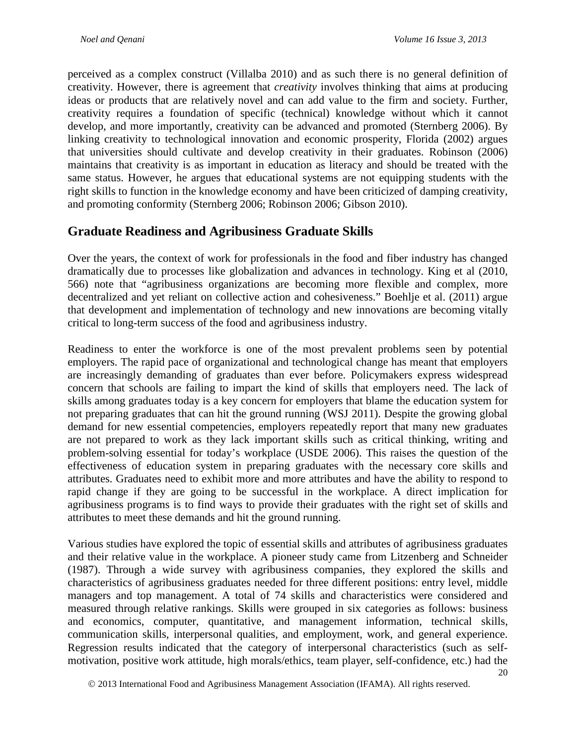perceived as a complex construct (Villalba 2010) and as such there is no general definition of creativity. However, there is agreement that *creativity* involves thinking that aims at producing ideas or products that are relatively novel and can add value to the firm and society. Further, creativity requires a foundation of specific (technical) knowledge without which it cannot develop, and more importantly, creativity can be advanced and promoted (Sternberg 2006). By linking creativity to technological innovation and economic prosperity, Florida (2002) argues that universities should cultivate and develop creativity in their graduates. Robinson (2006) maintains that creativity is as important in education as literacy and should be treated with the same status. However, he argues that educational systems are not equipping students with the right skills to function in the knowledge economy and have been criticized of damping creativity, and promoting conformity (Sternberg 2006; Robinson 2006; Gibson 2010).

### **Graduate Readiness and Agribusiness Graduate Skills**

Over the years, the context of work for professionals in the food and fiber industry has changed dramatically due to processes like globalization and advances in technology. King et al (2010, 566) note that "agribusiness organizations are becoming more flexible and complex, more decentralized and yet reliant on collective action and cohesiveness." Boehlje et al. (2011) argue that development and implementation of technology and new innovations are becoming vitally critical to long-term success of the food and agribusiness industry.

Readiness to enter the workforce is one of the most prevalent problems seen by potential employers. The rapid pace of organizational and technological change has meant that employers are increasingly demanding of graduates than ever before. Policymakers express widespread concern that schools are failing to impart the kind of skills that employers need. The lack of skills among graduates today is a key concern for employers that blame the education system for not preparing graduates that can hit the ground running (WSJ 2011). Despite the growing global demand for new essential competencies, employers repeatedly report that many new graduates are not prepared to work as they lack important skills such as critical thinking, writing and problem-solving essential for today's workplace (USDE 2006). This raises the question of the effectiveness of education system in preparing graduates with the necessary core skills and attributes. Graduates need to exhibit more and more attributes and have the ability to respond to rapid change if they are going to be successful in the workplace. A direct implication for agribusiness programs is to find ways to provide their graduates with the right set of skills and attributes to meet these demands and hit the ground running.

Various studies have explored the topic of essential skills and attributes of agribusiness graduates and their relative value in the workplace. A pioneer study came from Litzenberg and Schneider (1987). Through a wide survey with agribusiness companies, they explored the skills and characteristics of agribusiness graduates needed for three different positions: entry level, middle managers and top management. A total of 74 skills and characteristics were considered and measured through relative rankings. Skills were grouped in six categories as follows: business and economics, computer, quantitative, and management information, technical skills, communication skills, interpersonal qualities, and employment, work, and general experience. Regression results indicated that the category of interpersonal characteristics (such as selfmotivation, positive work attitude, high morals/ethics, team player, self-confidence, etc.) had the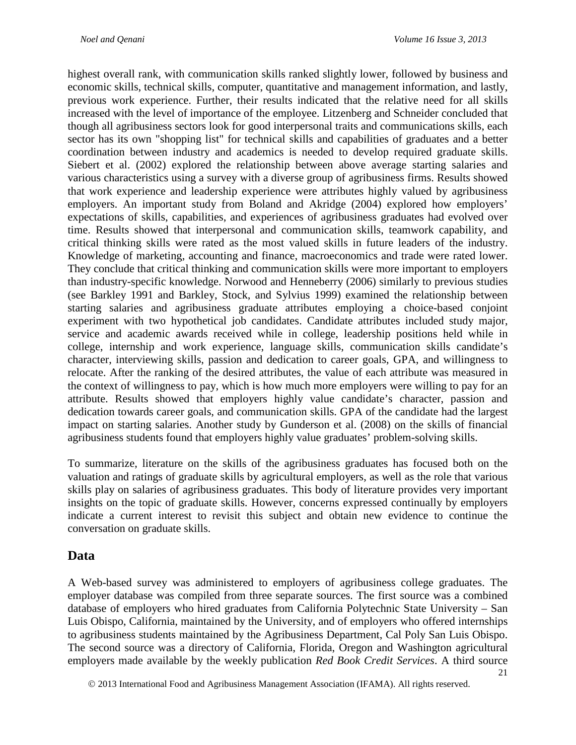highest overall rank, with communication skills ranked slightly lower, followed by business and economic skills, technical skills, computer, quantitative and management information, and lastly, previous work experience. Further, their results indicated that the relative need for all skills increased with the level of importance of the employee. Litzenberg and Schneider concluded that though all agribusiness sectors look for good interpersonal traits and communications skills, each sector has its own "shopping list" for technical skills and capabilities of graduates and a better coordination between industry and academics is needed to develop required graduate skills. Siebert et al. (2002) explored the relationship between above average starting salaries and various characteristics using a survey with a diverse group of agribusiness firms. Results showed that work experience and leadership experience were attributes highly valued by agribusiness employers. An important study from Boland and Akridge (2004) explored how employers' expectations of skills, capabilities, and experiences of agribusiness graduates had evolved over time. Results showed that interpersonal and communication skills, teamwork capability, and critical thinking skills were rated as the most valued skills in future leaders of the industry. Knowledge of marketing, accounting and finance, macroeconomics and trade were rated lower. They conclude that critical thinking and communication skills were more important to employers than industry-specific knowledge. Norwood and Henneberry (2006) similarly to previous studies (see Barkley 1991 and Barkley, Stock, and Sylvius 1999) examined the relationship between starting salaries and agribusiness graduate attributes employing a choice-based conjoint experiment with two hypothetical job candidates. Candidate attributes included study major, service and academic awards received while in college, leadership positions held while in college, internship and work experience, language skills, communication skills candidate's character, interviewing skills, passion and dedication to career goals, GPA, and willingness to relocate. After the ranking of the desired attributes, the value of each attribute was measured in the context of willingness to pay, which is how much more employers were willing to pay for an attribute. Results showed that employers highly value candidate's character, passion and dedication towards career goals, and communication skills. GPA of the candidate had the largest impact on starting salaries. Another study by Gunderson et al. (2008) on the skills of financial agribusiness students found that employers highly value graduates' problem-solving skills.

To summarize, literature on the skills of the agribusiness graduates has focused both on the valuation and ratings of graduate skills by agricultural employers, as well as the role that various skills play on salaries of agribusiness graduates. This body of literature provides very important insights on the topic of graduate skills. However, concerns expressed continually by employers indicate a current interest to revisit this subject and obtain new evidence to continue the conversation on graduate skills.

### **Data**

A Web-based survey was administered to employers of agribusiness college graduates. The employer database was compiled from three separate sources. The first source was a combined database of employers who hired graduates from California Polytechnic State University – San Luis Obispo, California, maintained by the University, and of employers who offered internships to agribusiness students maintained by the Agribusiness Department, Cal Poly San Luis Obispo. The second source was a directory of California, Florida, Oregon and Washington agricultural employers made available by the weekly publication *Red Book Credit Services*. A third source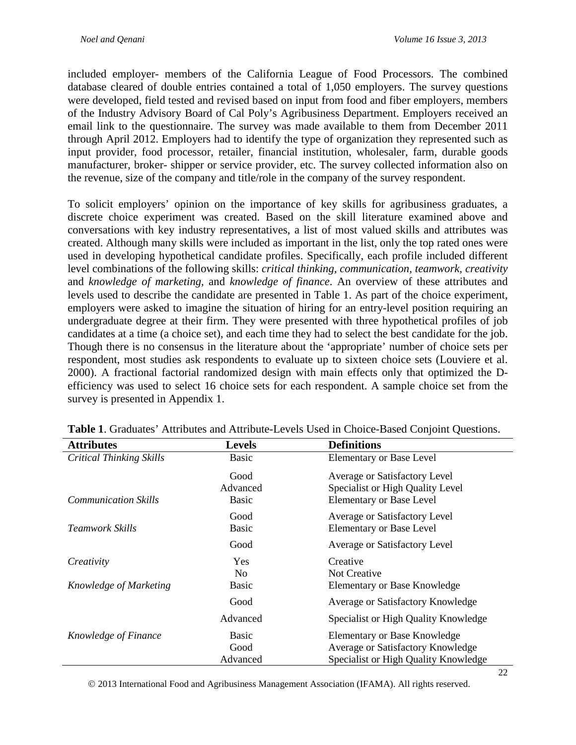included employer- members of the California League of Food Processors. The combined database cleared of double entries contained a total of 1,050 employers. The survey questions were developed, field tested and revised based on input from food and fiber employers, members of the Industry Advisory Board of Cal Poly's Agribusiness Department. Employers received an email link to the questionnaire. The survey was made available to them from December 2011 through April 2012. Employers had to identify the type of organization they represented such as input provider, food processor, retailer, financial institution, wholesaler, farm, durable goods manufacturer, broker- shipper or service provider, etc. The survey collected information also on the revenue, size of the company and title/role in the company of the survey respondent.

To solicit employers' opinion on the importance of key skills for agribusiness graduates, a discrete choice experiment was created. Based on the skill literature examined above and conversations with key industry representatives, a list of most valued skills and attributes was created. Although many skills were included as important in the list, only the top rated ones were used in developing hypothetical candidate profiles. Specifically, each profile included different level combinations of the following skills: *critical thinking, communication, teamwork, creativity* and *knowledge of marketing,* and *knowledge of finance*. An overview of these attributes and levels used to describe the candidate are presented in Table 1. As part of the choice experiment, employers were asked to imagine the situation of hiring for an entry-level position requiring an undergraduate degree at their firm. They were presented with three hypothetical profiles of job candidates at a time (a choice set), and each time they had to select the best candidate for the job. Though there is no consensus in the literature about the 'appropriate' number of choice sets per respondent, most studies ask respondents to evaluate up to sixteen choice sets (Louviere et al. 2000). A fractional factorial randomized design with main effects only that optimized the Defficiency was used to select 16 choice sets for each respondent. A sample choice set from the survey is presented in Appendix 1.

| <b>Attributes</b>               | <b>Levels</b>                    | <b>Definitions</b>                                                                                               |  |
|---------------------------------|----------------------------------|------------------------------------------------------------------------------------------------------------------|--|
| <b>Critical Thinking Skills</b> | <b>Basic</b>                     | <b>Elementary or Base Level</b>                                                                                  |  |
| <b>Communication Skills</b>     | Good<br>Advanced<br><b>Basic</b> | Average or Satisfactory Level<br>Specialist or High Quality Level<br><b>Elementary or Base Level</b>             |  |
| <b>Teamwork Skills</b>          | Good<br><b>Basic</b>             | Average or Satisfactory Level<br><b>Elementary or Base Level</b>                                                 |  |
|                                 | Good                             | Average or Satisfactory Level                                                                                    |  |
| Creativity                      | <b>Yes</b><br>No                 | Creative<br>Not Creative                                                                                         |  |
| Knowledge of Marketing          | <b>Basic</b>                     | <b>Elementary or Base Knowledge</b>                                                                              |  |
|                                 | Good                             | Average or Satisfactory Knowledge                                                                                |  |
|                                 | Advanced                         | Specialist or High Quality Knowledge                                                                             |  |
| Knowledge of Finance            | <b>Basic</b><br>Good<br>Advanced | <b>Elementary or Base Knowledge</b><br>Average or Satisfactory Knowledge<br>Specialist or High Quality Knowledge |  |

**Table 1**. Graduates' Attributes and Attribute-Levels Used in Choice-Based Conjoint Questions.

2013 International Food and Agribusiness Management Association (IFAMA). All rights reserved.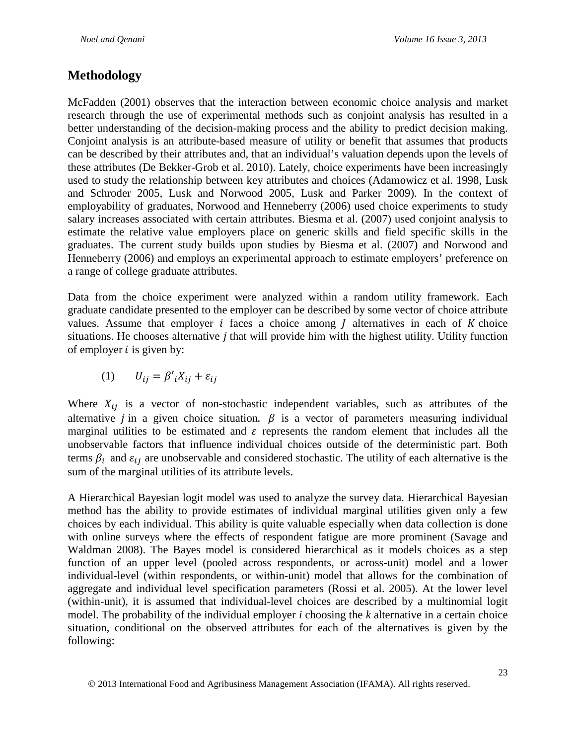### **Methodology**

McFadden (2001) observes that the interaction between economic choice analysis and market research through the use of experimental methods such as conjoint analysis has resulted in a better understanding of the decision-making process and the ability to predict decision making. Conjoint analysis is an attribute-based measure of utility or benefit that assumes that products can be described by their attributes and, that an individual's valuation depends upon the levels of these attributes (De Bekker-Grob et al. 2010). Lately, choice experiments have been increasingly used to study the relationship between key attributes and choices (Adamowicz et al. 1998, Lusk and Schroder 2005, Lusk and Norwood 2005, Lusk and Parker 2009). In the context of employability of graduates, Norwood and Henneberry (2006) used choice experiments to study salary increases associated with certain attributes. Biesma et al. (2007) used conjoint analysis to estimate the relative value employers place on generic skills and field specific skills in the graduates. The current study builds upon studies by Biesma et al. (2007) and Norwood and Henneberry (2006) and employs an experimental approach to estimate employers' preference on a range of college graduate attributes.

Data from the choice experiment were analyzed within a random utility framework. Each graduate candidate presented to the employer can be described by some vector of choice attribute values. Assume that employer  $i$  faces a choice among  $j$  alternatives in each of  $K$  choice situations. He chooses alternative  $j$  that will provide him with the highest utility. Utility function of employer  $i$  is given by:

$$
(1) \qquad U_{ij} = \beta'_{i}X_{ij} + \varepsilon_{ij}
$$

Where  $X_{ij}$  is a vector of non-stochastic independent variables, such as attributes of the alternative *j* in a given choice situation.  $\beta$  is a vector of parameters measuring individual marginal utilities to be estimated and  $\varepsilon$  represents the random element that includes all the unobservable factors that influence individual choices outside of the deterministic part. Both terms  $\beta_i$  and  $\varepsilon_{ij}$  are unobservable and considered stochastic. The utility of each alternative is the sum of the marginal utilities of its attribute levels.

A Hierarchical Bayesian logit model was used to analyze the survey data. Hierarchical Bayesian method has the ability to provide estimates of individual marginal utilities given only a few choices by each individual. This ability is quite valuable especially when data collection is done with online surveys where the effects of respondent fatigue are more prominent (Savage and Waldman 2008). The Bayes model is considered hierarchical as it models choices as a step function of an upper level (pooled across respondents, or across-unit) model and a lower individual-level (within respondents, or within-unit) model that allows for the combination of aggregate and individual level specification parameters (Rossi et al. 2005). At the lower level (within-unit), it is assumed that individual-level choices are described by a multinomial logit model. The probability of the individual employer *i* choosing the *k* alternative in a certain choice situation, conditional on the observed attributes for each of the alternatives is given by the following: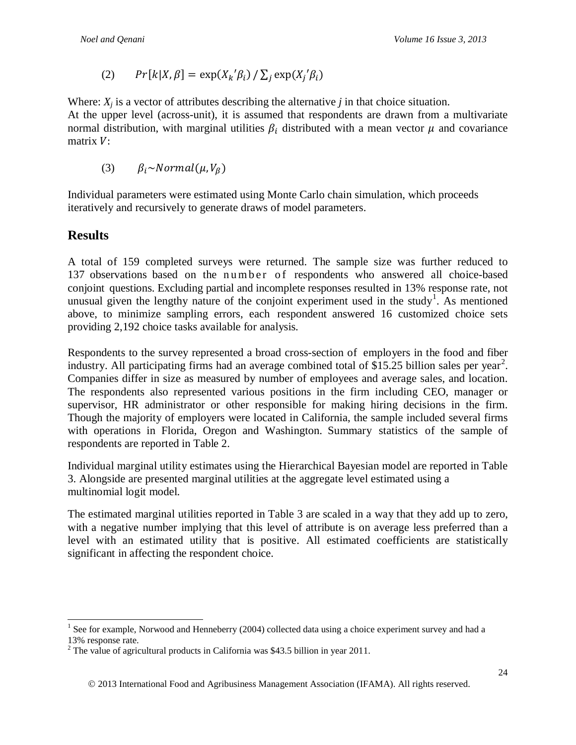(2) 
$$
Pr[k|X, \beta] = \exp(X_k'\beta_i) / \sum_j \exp(X_j'\beta_i)
$$

Where:  $X_j$  is a vector of attributes describing the alternative  $j$  in that choice situation. At the upper level (across-unit), it is assumed that respondents are drawn from a multivariate normal distribution, with marginal utilities  $\beta_i$  distributed with a mean vector  $\mu$  and covariance matrix  $V$ :

(3)  $\beta_i \sim Normal(\mu, V_\beta)$ 

Individual parameters were estimated using Monte Carlo chain simulation, which proceeds iteratively and recursively to generate draws of model parameters.

## **Results**

A total of 159 completed surveys were returned. The sample size was further reduced to 137 observations based on the number of respondents who answered all choice-based conjoint questions. Excluding partial and incomplete responses resulted in 13% response rate, not unusual given the lengthy nature of the conjoint experiment used in the study<sup>[1](#page-7-0)</sup>. As mentioned above, to minimize sampling errors, each respondent answered 16 customized choice sets providing 2,192 choice tasks available for analysis.

Respondents to the survey represented a broad cross-section of employers in the food and fiber industry. All participating firms had an average combined total of  $$15.25$  $$15.25$  $$15.25$  billion sales per year<sup>2</sup>. Companies differ in size as measured by number of employees and average sales, and location. The respondents also represented various positions in the firm including CEO, manager or supervisor, HR administrator or other responsible for making hiring decisions in the firm. Though the majority of employers were located in California, the sample included several firms with operations in Florida, Oregon and Washington. Summary statistics of the sample of respondents are reported in Table 2.

Individual marginal utility estimates using the Hierarchical Bayesian model are reported in Table 3. Alongside are presented marginal utilities at the aggregate level estimated using a multinomial logit model.

The estimated marginal utilities reported in Table 3 are scaled in a way that they add up to zero, with a negative number implying that this level of attribute is on average less preferred than a level with an estimated utility that is positive. All estimated coefficients are statistically significant in affecting the respondent choice.

<span id="page-7-0"></span><sup>&</sup>lt;sup>1</sup> See for example, Norwood and Henneberry (2004) collected data using a choice experiment survey and had a 13% response rate.

<span id="page-7-1"></span> $2$ <sup>2</sup> The value of agricultural products in California was \$43.5 billion in year 2011.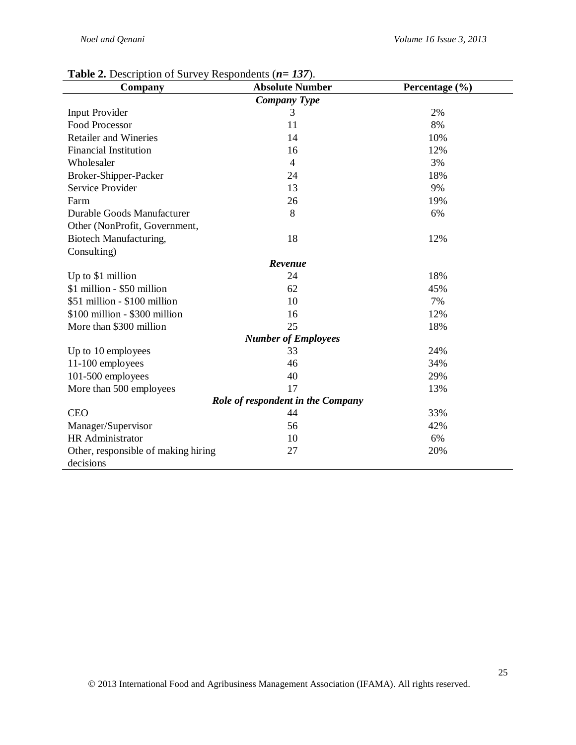| Company                             | <b>Absolute Number</b>     | Percentage (%) |  |  |
|-------------------------------------|----------------------------|----------------|--|--|
|                                     | <b>Company Type</b>        |                |  |  |
| <b>Input Provider</b>               | 3                          | 2%             |  |  |
| <b>Food Processor</b>               | 11                         | 8%             |  |  |
| <b>Retailer and Wineries</b>        | 14                         | 10%            |  |  |
| <b>Financial Institution</b>        | 16                         | 12%            |  |  |
| Wholesaler                          | $\overline{4}$             | 3%             |  |  |
| Broker-Shipper-Packer               | 24                         | 18%            |  |  |
| <b>Service Provider</b>             | 13                         | 9%             |  |  |
| Farm                                | 26                         | 19%            |  |  |
| Durable Goods Manufacturer          | 8                          | 6%             |  |  |
| Other (NonProfit, Government,       |                            |                |  |  |
| Biotech Manufacturing,              | 18                         | 12%            |  |  |
| Consulting)                         |                            |                |  |  |
|                                     | Revenue                    |                |  |  |
| Up to \$1 million                   | 24                         | 18%            |  |  |
| \$1 million - \$50 million          | 62                         | 45%            |  |  |
| \$51 million - \$100 million        | 10                         | 7%             |  |  |
| \$100 million - \$300 million       | 16                         | 12%            |  |  |
| More than \$300 million             | 25                         | 18%            |  |  |
|                                     | <b>Number of Employees</b> |                |  |  |
| Up to 10 employees                  | 33                         | 24%            |  |  |
| 11-100 employees                    | 46                         | 34%            |  |  |
| 101-500 employees                   | 40                         | 29%            |  |  |
| More than 500 employees             | 17                         | 13%            |  |  |
| Role of respondent in the Company   |                            |                |  |  |
| <b>CEO</b>                          | 44                         | 33%            |  |  |
| Manager/Supervisor                  | 56                         | 42%            |  |  |
| HR Administrator                    | 10                         | 6%             |  |  |
| Other, responsible of making hiring | 27                         | 20%            |  |  |
| decisions                           |                            |                |  |  |

#### **Table 2.** Description of Survey Respondents (*n= 137*).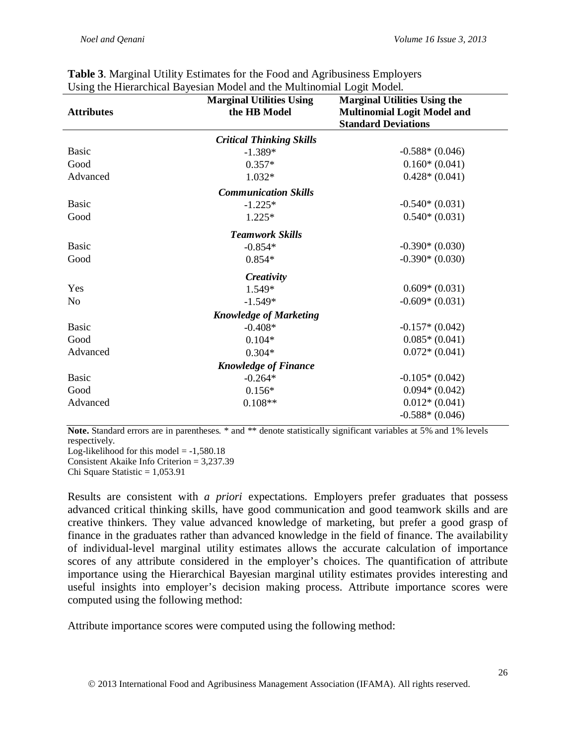|                   | <b>Marginal Utilities Using</b> | <b>Marginal Utilities Using the</b> |
|-------------------|---------------------------------|-------------------------------------|
| <b>Attributes</b> | the HB Model                    | <b>Multinomial Logit Model and</b>  |
|                   |                                 | <b>Standard Deviations</b>          |
|                   | <b>Critical Thinking Skills</b> |                                     |
| <b>Basic</b>      | $-1.389*$                       | $-0.588*(0.046)$                    |
| Good              | $0.357*$                        | $0.160*(0.041)$                     |
| Advanced          | 1.032*                          | $0.428*(0.041)$                     |
|                   | <b>Communication Skills</b>     |                                     |
| <b>Basic</b>      | $-1.225*$                       | $-0.540*(0.031)$                    |
| Good              | $1.225*$                        | $0.540*(0.031)$                     |
|                   | <b>Teamwork Skills</b>          |                                     |
| <b>Basic</b>      | $-0.854*$                       | $-0.390*(0.030)$                    |
| Good              | $0.854*$                        | $-0.390*(0.030)$                    |
|                   | Creativity                      |                                     |
| Yes               | 1.549*                          | $0.609*(0.031)$                     |
| N <sub>0</sub>    | $-1.549*$                       | $-0.609*(0.031)$                    |
|                   | <b>Knowledge of Marketing</b>   |                                     |
| <b>Basic</b>      | $-0.408*$                       | $-0.157*(0.042)$                    |
| Good              | $0.104*$                        | $0.085*(0.041)$                     |
| Advanced          | $0.304*$                        | $0.072*(0.041)$                     |
|                   | <b>Knowledge of Finance</b>     |                                     |
| <b>Basic</b>      | $-0.264*$                       | $-0.105*(0.042)$                    |
| Good              | $0.156*$                        | $0.094*(0.042)$                     |
| Advanced          | $0.108**$                       | $0.012*(0.041)$                     |
|                   |                                 | $-0.588*(0.046)$                    |

| <b>Table 3.</b> Marginal Utility Estimates for the Food and Agribusiness Employers |  |  |
|------------------------------------------------------------------------------------|--|--|
| Using the Hierarchical Bayesian Model and the Multinomial Logit Model.             |  |  |

**Note.** Standard errors are in parentheses. \* and \*\* denote statistically significant variables at 5% and 1% levels respectively.

Log-likelihood for this model  $= -1,580.18$ Consistent Akaike Info Criterion = 3,237.39

Chi Square Statistic  $= 1,053.91$ 

Results are consistent with *a priori* expectations. Employers prefer graduates that possess advanced critical thinking skills, have good communication and good teamwork skills and are creative thinkers. They value advanced knowledge of marketing, but prefer a good grasp of finance in the graduates rather than advanced knowledge in the field of finance. The availability of individual-level marginal utility estimates allows the accurate calculation of importance scores of any attribute considered in the employer's choices. The quantification of attribute importance using the Hierarchical Bayesian marginal utility estimates provides interesting and useful insights into employer's decision making process. Attribute importance scores were computed using the following method:

Attribute importance scores were computed using the following method: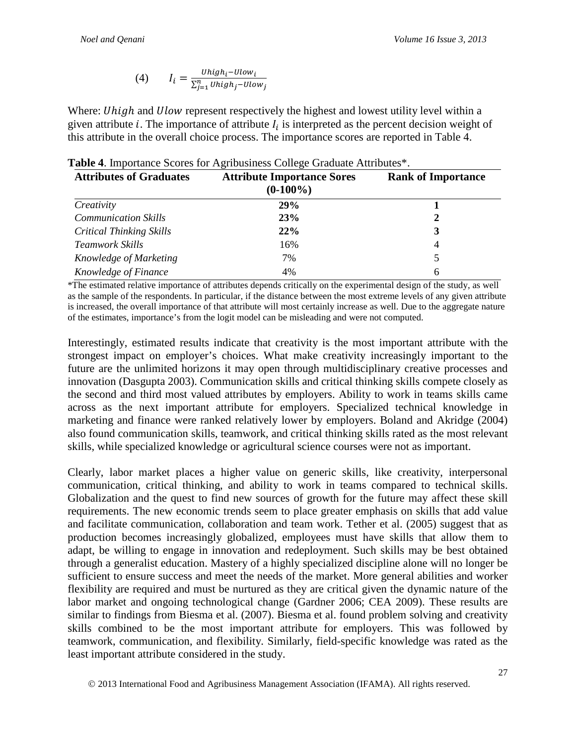(4) 
$$
I_i = \frac{Uniform_{i} - Ulow_i}{\sum_{j=1}^{n} Uhigh_j - Ulow_j}
$$

Where: *Uhigh* and *Ulow* represent respectively the highest and lowest utility level within a given attribute *i*. The importance of attribute  $I_i$  is interpreted as the percent decision weight of this attribute in the overall choice process. The importance scores are reported in Table 4.

| <b>Attributes of Graduates</b>  | <b>Attribute Importance Sores</b><br>$(0-100\%)$ | <b>Rank of Importance</b> |
|---------------------------------|--------------------------------------------------|---------------------------|
| Creativity                      | 29%                                              |                           |
| <b>Communication Skills</b>     | 23%                                              | 2                         |
| <b>Critical Thinking Skills</b> | 22%                                              | 3                         |
| <b>Teamwork Skills</b>          | 16%                                              | 4                         |
| Knowledge of Marketing          | 7%                                               | 5                         |
| Knowledge of Finance            | 4%                                               | 6                         |

|  |  | Table 4. Importance Scores for Agribusiness College Graduate Attributes*. |  |
|--|--|---------------------------------------------------------------------------|--|
|  |  |                                                                           |  |

\*The estimated relative importance of attributes depends critically on the experimental design of the study, as well as the sample of the respondents. In particular, if the distance between the most extreme levels of any given attribute is increased, the overall importance of that attribute will most certainly increase as well. Due to the aggregate nature of the estimates, importance's from the logit model can be misleading and were not computed.

Interestingly, estimated results indicate that creativity is the most important attribute with the strongest impact on employer's choices. What make creativity increasingly important to the future are the unlimited horizons it may open through multidisciplinary creative processes and innovation (Dasgupta 2003). Communication skills and critical thinking skills compete closely as the second and third most valued attributes by employers. Ability to work in teams skills came across as the next important attribute for employers. Specialized technical knowledge in marketing and finance were ranked relatively lower by employers. Boland and Akridge (2004) also found communication skills, teamwork, and critical thinking skills rated as the most relevant skills, while specialized knowledge or agricultural science courses were not as important.

Clearly, labor market places a higher value on generic skills, like creativity, interpersonal communication, critical thinking, and ability to work in teams compared to technical skills. Globalization and the quest to find new sources of growth for the future may affect these skill requirements. The new economic trends seem to place greater emphasis on skills that add value and facilitate communication, collaboration and team work. Tether et al. (2005) suggest that as production becomes increasingly globalized, employees must have skills that allow them to adapt, be willing to engage in innovation and redeployment. Such skills may be best obtained through a generalist education. Mastery of a highly specialized discipline alone will no longer be sufficient to ensure success and meet the needs of the market. More general abilities and worker flexibility are required and must be nurtured as they are critical given the dynamic nature of the labor market and ongoing technological change (Gardner 2006; CEA 2009). These results are similar to findings from Biesma et al. (2007). Biesma et al. found problem solving and creativity skills combined to be the most important attribute for employers. This was followed by teamwork, communication, and flexibility. Similarly, field-specific knowledge was rated as the least important attribute considered in the study.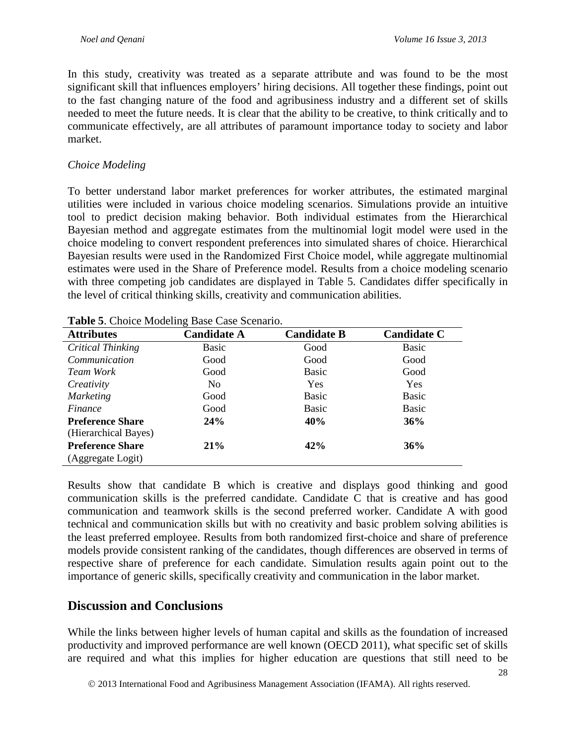In this study, creativity was treated as a separate attribute and was found to be the most significant skill that influences employers' hiring decisions. All together these findings, point out to the fast changing nature of the food and agribusiness industry and a different set of skills needed to meet the future needs. It is clear that the ability to be creative, to think critically and to communicate effectively, are all attributes of paramount importance today to society and labor market.

### *Choice Modeling*

To better understand labor market preferences for worker attributes, the estimated marginal utilities were included in various choice modeling scenarios. Simulations provide an intuitive tool to predict decision making behavior. Both individual estimates from the Hierarchical Bayesian method and aggregate estimates from the multinomial logit model were used in the choice modeling to convert respondent preferences into simulated shares of choice. Hierarchical Bayesian results were used in the Randomized First Choice model, while aggregate multinomial estimates were used in the Share of Preference model. Results from a choice modeling scenario with three competing job candidates are displayed in Table 5. Candidates differ specifically in the level of critical thinking skills, creativity and communication abilities.

| <b>Attributes</b>       | ັ<br><b>Candidate A</b> | <b>Candidate B</b> | <b>Candidate C</b> |
|-------------------------|-------------------------|--------------------|--------------------|
| Critical Thinking       | Basic                   | Good               | Basic              |
| Communication           | Good                    | Good               | Good               |
| Team Work               | Good                    | Basic              | Good               |
| Creativity              | N <sub>0</sub>          | <b>Yes</b>         | <b>Yes</b>         |
| <b>Marketing</b>        | Good                    | Basic              | <b>Basic</b>       |
| Finance                 | Good                    | Basic              | <b>Basic</b>       |
| <b>Preference Share</b> | 24%                     | 40%                | 36%                |
| (Hierarchical Bayes)    |                         |                    |                    |
| <b>Preference Share</b> | 21%                     | 42%                | 36%                |
| (Aggregate Logit)       |                         |                    |                    |

**Table 5**. Choice Modeling Base Case Scenario.

Results show that candidate B which is creative and displays good thinking and good communication skills is the preferred candidate. Candidate C that is creative and has good communication and teamwork skills is the second preferred worker. Candidate A with good technical and communication skills but with no creativity and basic problem solving abilities is the least preferred employee. Results from both randomized first-choice and share of preference models provide consistent ranking of the candidates, though differences are observed in terms of respective share of preference for each candidate. Simulation results again point out to the importance of generic skills, specifically creativity and communication in the labor market.

### **Discussion and Conclusions**

While the links between higher levels of human capital and skills as the foundation of increased productivity and improved performance are well known (OECD 2011), what specific set of skills are required and what this implies for higher education are questions that still need to be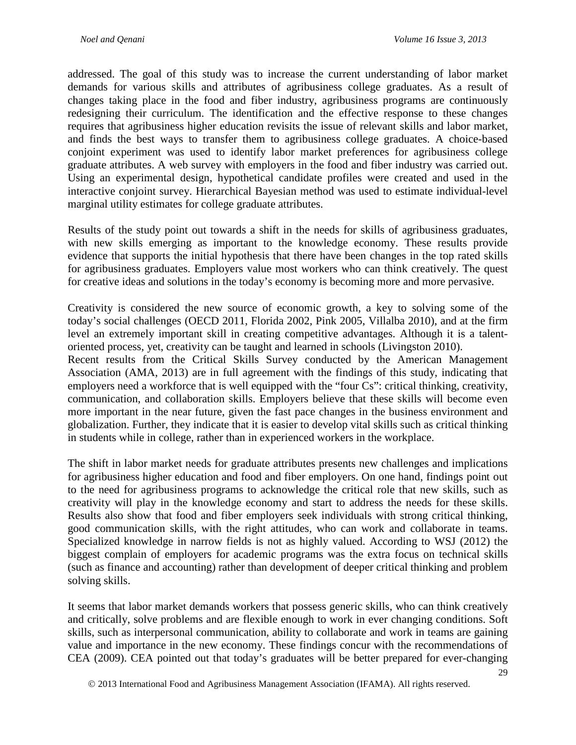addressed. The goal of this study was to increase the current understanding of labor market demands for various skills and attributes of agribusiness college graduates. As a result of changes taking place in the food and fiber industry, agribusiness programs are continuously redesigning their curriculum. The identification and the effective response to these changes requires that agribusiness higher education revisits the issue of relevant skills and labor market, and finds the best ways to transfer them to agribusiness college graduates. A choice-based conjoint experiment was used to identify labor market preferences for agribusiness college graduate attributes. A web survey with employers in the food and fiber industry was carried out. Using an experimental design, hypothetical candidate profiles were created and used in the interactive conjoint survey. Hierarchical Bayesian method was used to estimate individual-level marginal utility estimates for college graduate attributes.

Results of the study point out towards a shift in the needs for skills of agribusiness graduates, with new skills emerging as important to the knowledge economy. These results provide evidence that supports the initial hypothesis that there have been changes in the top rated skills for agribusiness graduates. Employers value most workers who can think creatively. The quest for creative ideas and solutions in the today's economy is becoming more and more pervasive.

Creativity is considered the new source of economic growth, a key to solving some of the today's social challenges (OECD 2011, Florida 2002, Pink 2005, Villalba 2010), and at the firm level an extremely important skill in creating competitive advantages. Although it is a talentoriented process, yet, creativity can be taught and learned in schools (Livingston 2010).

Recent results from the Critical Skills Survey conducted by the American Management Association (AMA, 2013) are in full agreement with the findings of this study, indicating that employers need a workforce that is well equipped with the "four Cs": critical thinking, creativity, communication, and collaboration skills. Employers believe that these skills will become even more important in the near future, given the fast pace changes in the business environment and globalization. Further, they indicate that it is easier to develop vital skills such as critical thinking in students while in college, rather than in experienced workers in the workplace.

The shift in labor market needs for graduate attributes presents new challenges and implications for agribusiness higher education and food and fiber employers. On one hand, findings point out to the need for agribusiness programs to acknowledge the critical role that new skills, such as creativity will play in the knowledge economy and start to address the needs for these skills. Results also show that food and fiber employers seek individuals with strong critical thinking, good communication skills, with the right attitudes, who can work and collaborate in teams. Specialized knowledge in narrow fields is not as highly valued. According to WSJ (2012) the biggest complain of employers for academic programs was the extra focus on technical skills (such as finance and accounting) rather than development of deeper critical thinking and problem solving skills.

It seems that labor market demands workers that possess generic skills, who can think creatively and critically, solve problems and are flexible enough to work in ever changing conditions. Soft skills, such as interpersonal communication, ability to collaborate and work in teams are gaining value and importance in the new economy. These findings concur with the recommendations of CEA (2009). CEA pointed out that today's graduates will be better prepared for ever-changing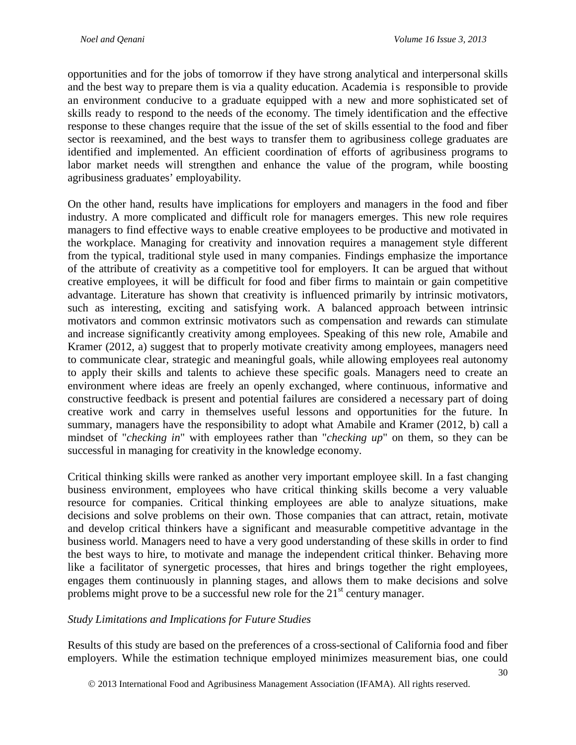opportunities and for the jobs of tomorrow if they have strong analytical and interpersonal skills and the best way to prepare them is via a quality education. Academia is responsible to provide an environment conducive to a graduate equipped with a new and more sophisticated set of skills ready to respond to the needs of the economy. The timely identification and the effective response to these changes require that the issue of the set of skills essential to the food and fiber sector is reexamined, and the best ways to transfer them to agribusiness college graduates are identified and implemented. An efficient coordination of efforts of agribusiness programs to labor market needs will strengthen and enhance the value of the program, while boosting agribusiness graduates' employability*.*

On the other hand, results have implications for employers and managers in the food and fiber industry. A more complicated and difficult role for managers emerges. This new role requires managers to find effective ways to enable creative employees to be productive and motivated in the workplace. Managing for creativity and innovation requires a management style different from the typical, traditional style used in many companies. Findings emphasize the importance of the attribute of creativity as a competitive tool for employers. It can be argued that without creative employees, it will be difficult for food and fiber firms to maintain or gain competitive advantage. Literature has shown that creativity is influenced primarily by intrinsic motivators, such as interesting, exciting and satisfying work. A balanced approach between intrinsic motivators and common extrinsic motivators such as compensation and rewards can stimulate and increase significantly creativity among employees. Speaking of this new role, Amabile and Kramer (2012, a) suggest that to properly motivate creativity among employees, managers need to communicate clear, strategic and meaningful goals, while allowing employees real autonomy to apply their skills and talents to achieve these specific goals. Managers need to create an environment where ideas are freely an openly exchanged, where continuous, informative and constructive feedback is present and potential failures are considered a necessary part of doing creative work and carry in themselves useful lessons and opportunities for the future. In summary, managers have the responsibility to adopt what Amabile and Kramer (2012, b) call a mindset of "*checking in*" with employees rather than "*checking up*" on them, so they can be successful in managing for creativity in the knowledge economy.

Critical thinking skills were ranked as another very important employee skill. In a fast changing business environment, employees who have critical thinking skills become a very valuable resource for companies. Critical thinking employees are able to analyze situations, make decisions and solve problems on their own. Those companies that can attract, retain, motivate and develop critical thinkers have a significant and measurable competitive advantage in the business world. Managers need to have a very good understanding of these skills in order to find the best ways to hire, to motivate and manage the independent critical thinker. Behaving more like a facilitator of synergetic processes, that hires and brings together the right employees, engages them continuously in planning stages, and allows them to make decisions and solve problems might prove to be a successful new role for the  $21<sup>st</sup>$  century manager.

### *Study Limitations and Implications for Future Studies*

Results of this study are based on the preferences of a cross-sectional of California food and fiber employers. While the estimation technique employed minimizes measurement bias, one could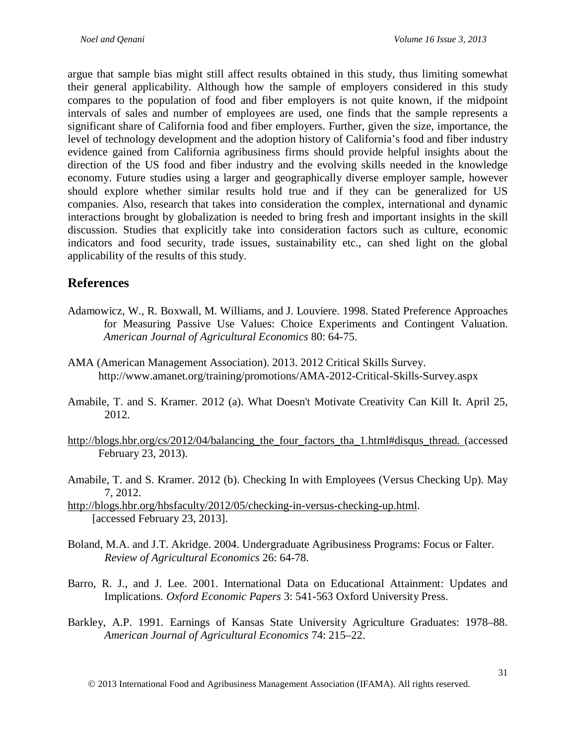argue that sample bias might still affect results obtained in this study, thus limiting somewhat their general applicability. Although how the sample of employers considered in this study compares to the population of food and fiber employers is not quite known, if the midpoint intervals of sales and number of employees are used, one finds that the sample represents a significant share of California food and fiber employers. Further, given the size, importance, the level of technology development and the adoption history of California's food and fiber industry evidence gained from California agribusiness firms should provide helpful insights about the direction of the US food and fiber industry and the evolving skills needed in the knowledge economy. Future studies using a larger and geographically diverse employer sample, however should explore whether similar results hold true and if they can be generalized for US companies. Also, research that takes into consideration the complex, international and dynamic interactions brought by globalization is needed to bring fresh and important insights in the skill discussion. Studies that explicitly take into consideration factors such as culture, economic indicators and food security, trade issues, sustainability etc., can shed light on the global applicability of the results of this study.

## **References**

- Adamowicz, W., R. Boxwall, M. Williams, and J. Louviere. 1998. Stated Preference Approaches for Measuring Passive Use Values: Choice Experiments and Contingent Valuation. *American Journal of Agricultural Economics* 80: 64-75.
- AMA (American Management Association). 2013. 2012 Critical Skills Survey. http://www.amanet.org/training/promotions/AMA-2012-Critical-Skills-Survey.aspx
- Amabile, T. and S. Kramer. 2012 (a). What Doesn't Motivate Creativity Can Kill It. April 25, 2012.
- http://blogs.hbr.org/cs/2012/04/balancing the four factors tha 1.html#disqus thread. (accessed February 23, 2013).
- Amabile, T. and S. Kramer. 2012 (b). Checking In with Employees (Versus Checking Up). May 7, 2012.

[http://blogs.hbr.org/hbsfaculty/2012/05/checking-in-versus-checking-up.html.](http://blogs.hbr.org/hbsfaculty/2012/05/checking-in-versus-checking-up.html) [accessed February 23, 2013].

- Boland, M.A. and J.T. Akridge. 2004. Undergraduate Agribusiness Programs: Focus or Falter. *Review of Agricultural Economics* 26: 64-78.
- Barro, R. J., and J. Lee. 2001. International Data on Educational Attainment: Updates and Implications. *Oxford Economic Papers* 3: 541-563 Oxford University Press.
- Barkley, A.P. 1991. Earnings of Kansas State University Agriculture Graduates: 1978–88. *American Journal of Agricultural Economics* 74: 215–22.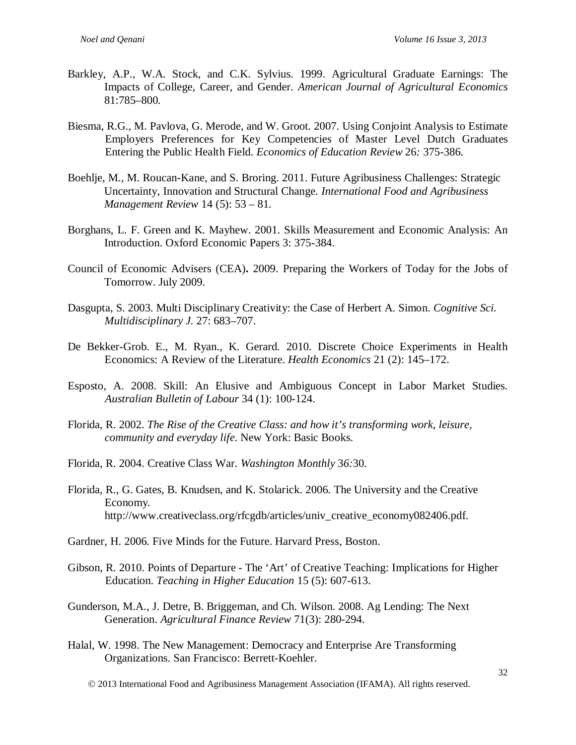- Barkley, A.P., W.A. Stock, and C.K. Sylvius. 1999. Agricultural Graduate Earnings: The Impacts of College, Career, and Gender. *American Journal of Agricultural Economics* 81:785–800*.*
- Biesma, R.G., M. Pavlova, G. Merode, and W. Groot. 2007. Using Conjoint Analysis to Estimate Employers Preferences for Key Competencies of Master Level Dutch Graduates Entering the Public Health Field. *Economics of Education Review* 26*:* 375-386.
- Boehlje, M., M. Roucan-Kane, and S. Broring. 2011. Future Agribusiness Challenges: Strategic Uncertainty, Innovation and Structural Change*. International Food and Agribusiness Management Review* 14 (5): 53 – 81.
- Borghans, L. F. Green and K. Mayhew. 2001. Skills Measurement and Economic Analysis: An Introduction. Oxford Economic Papers 3: 375-384.
- Council of Economic Advisers (CEA)**.** 2009. Preparing the Workers of Today for the Jobs of Tomorrow. July 2009.
- Dasgupta, S. 2003. Multi Disciplinary Creativity: the Case of Herbert A. Simon. *Cognitive Sci. Multidisciplinary J.* 27: 683–707.
- De Bekker-Grob. E., M. Ryan., K. Gerard. 2010. Discrete Choice Experiments in Health Economics: A Review of the Literature. *Health Economics* 21 (2): 145–172.
- Esposto, A. 2008. Skill: An Elusive and Ambiguous Concept in Labor Market Studies. *Australian Bulletin of Labour* 34 (1): 100-124.
- Florida, R. 2002. *The Rise of the Creative Class: and how it's transforming work, leisure, community and everyday life*. New York: Basic Books.
- Florida, R. 2004. Creative Class War. *Washington Monthly* 3*6:*30.
- Florida, R., G. Gates, B. Knudsen, and K. Stolarick. 2006. The University and the Creative Economy. [http://www.creativeclass.org/rfcgdb/articles/univ\\_creative\\_economy082406.pdf.](http://www.creativeclass.org/rfcgdb/articles/univ_creative_economy082406.pdf)
- Gardner, H. 2006. Five Minds for the Future. Harvard Press, Boston.
- Gibson, R. 2010. Points of Departure The 'Art' of Creative Teaching: Implications for Higher Education. *Teaching in Higher Education* 15 (5): 607-613.
- Gunderson, M.A., J. Detre, B. Briggeman, and Ch. Wilson. 2008. Ag Lending: The Next Generation. *Agricultural Finance Review* 71(3): 280-294.
- Halal, W. 1998. The New Management: Democracy and Enterprise Are Transforming Organizations. San Francisco: Berrett-Koehler.
	- 2013 International Food and Agribusiness Management Association (IFAMA). All rights reserved.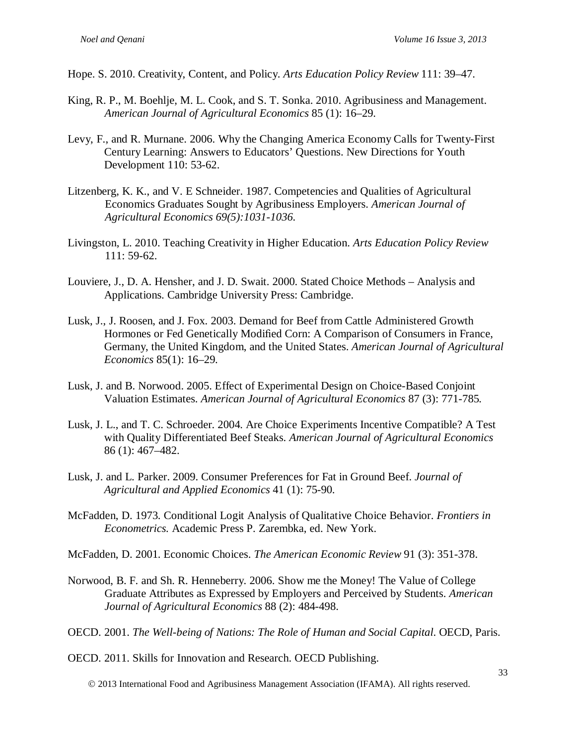- Hope. S. 2010. Creativity, Content, and Policy. *Arts Education Policy Review* 111: 39–47.
- King, R. P., M. Boehlje, M. L. Cook, and S. T. Sonka. 2010. Agribusiness and Management. *American Journal of Agricultural Economics* 85 (1): 16–29.
- Levy, F., and R. Murnane. 2006. Why the Changing America Economy Calls for Twenty-First Century Learning: Answers to Educators' Questions. New Directions for Youth Development 110: 53-62.
- Litzenberg, K. K., and V. E Schneider. 1987. Competencies and Qualities of Agricultural Economics Graduates Sought by Agribusiness Employers. *American Journal of Agricultural Economics 69(5):1031-1036.*
- Livingston, L. 2010. Teaching Creativity in Higher Education. *Arts Education Policy Review* 111: 59-62.
- Louviere, J., D. A. Hensher, and J. D. Swait. 2000. Stated Choice Methods Analysis and Applications. Cambridge University Press: Cambridge.
- Lusk, J., J. Roosen, and J. Fox. 2003. Demand for Beef from Cattle Administered Growth Hormones or Fed Genetically Modified Corn: A Comparison of Consumers in France, Germany, the United Kingdom, and the United States. *American Journal of Agricultural Economics* 85(1): 16–29.
- Lusk, J. and B. Norwood. 2005. Effect of Experimental Design on Choice-Based Conjoint Valuation Estimates. *American Journal of Agricultural Economics* 87 (3): 771-785*.*
- Lusk, J. L., and T. C. Schroeder. 2004. Are Choice Experiments Incentive Compatible? A Test with Quality Differentiated Beef Steaks. *American Journal of Agricultural Economics* 86 (1): 467–482.
- Lusk, J. and L. Parker. 2009. Consumer Preferences for Fat in Ground Beef. *Journal of Agricultural and Applied Economics* 41 (1): 75-90.
- McFadden, D. 1973. Conditional Logit Analysis of Qualitative Choice Behavior. *Frontiers in Econometrics.* Academic Press P. Zarembka, ed. New York.

McFadden, D. 2001. Economic Choices. *The American Economic Review* 91 (3): 351-378.

- Norwood, B. F. and Sh. R. Henneberry. 2006. Show me the Money! The Value of College Graduate Attributes as Expressed by Employers and Perceived by Students. *American Journal of Agricultural Economics* 88 (2): 484-498.
- OECD. 2001. *The Well-being of Nations: The Role of Human and Social Capital*. OECD, Paris.

OECD. 2011. Skills for Innovation and Research. OECD Publishing.

2013 International Food and Agribusiness Management Association (IFAMA). All rights reserved.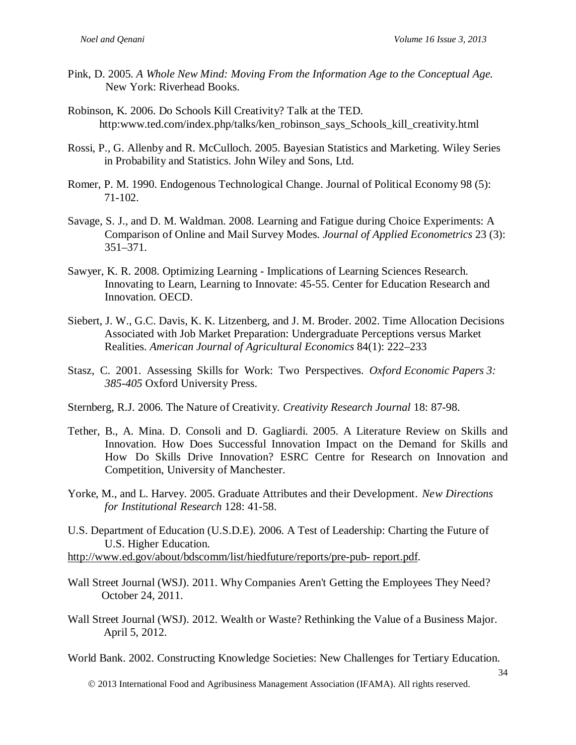- Pink, D. 2005. *A Whole New Mind: Moving From the Information Age to the Conceptual Age*. New York: Riverhead Books.
- Robinson, K. 2006. Do Schools Kill Creativity? Talk at the TED. ht[tp:www.ted.com/index.php/talks/ken\\_robinson\\_says\\_Schools\\_kill\\_creativity.html](http://www.ted.com/index.php/talks/ken_robinson_says_Schools_kill_creativity.html)
- Rossi, P., G. Allenby and R. McCulloch. 2005. Bayesian Statistics and Marketing. Wiley Series in Probability and Statistics. John Wiley and Sons, Ltd.
- Romer, P. M. 1990. Endogenous Technological Change. Journal of Political Economy 98 (5): 71-102.
- Savage, S. J., and D. M. Waldman. 2008. Learning and Fatigue during Choice Experiments: A Comparison of Online and Mail Survey Modes. *Journal of Applied Econometrics* 23 (3): 351–371.
- Sawyer, K. R. 2008. Optimizing Learning Implications of Learning Sciences Research. Innovating to Learn, Learning to Innovate: 45-55. Center for Education Research and Innovation. OECD.
- Siebert, J. W., G.C. Davis, K. K. Litzenberg, and J. M. Broder. 2002. Time Allocation Decisions Associated with Job Market Preparation: Undergraduate Perceptions versus Market Realities. *American Journal of Agricultural Economics* 84(1): 222–233
- Stasz, C. 2001. Assessing Skills for Work: Two Perspectives. *Oxford Economic Papers 3: 385-405* Oxford University Press.
- Sternberg, R.J. 2006. The Nature of Creativity. *Creativity Research Journal* 18: 87-98.
- Tether, B., A. Mina. D. Consoli and D. Gagliardi. 2005. A Literature Review on Skills and Innovation. How Does Successful Innovation Impact on the Demand for Skills and How Do Skills Drive Innovation? ESRC Centre for Research on Innovation and Competition, University of Manchester.
- Yorke, M., and L. Harvey. 2005. Graduate Attributes and their Development. *New Directions for Institutional Research* 128: 41-58.
- U.S. Department of Education (U.S.D.E). 2006. A Test of Leadership: Charting the Future of U.S. Higher Education.
- [http://www.ed.gov/about/bdscomm/list/hiedfuture/reports/pre-pub-](http://www.ed.gov/about/bdscomm/list/hiedfuture/reports/pre-pub-%20report.pdf) report.pdf.
- Wall Street Journal (WSJ). 2011. Why Companies Aren't Getting the Employees They Need? October 24, 2011.
- Wall Street Journal (WSJ). 2012. Wealth or Waste? Rethinking the Value of a Business Major. April 5, 2012.
- World Bank. 2002. Constructing Knowledge Societies: New Challenges for Tertiary Education.

2013 International Food and Agribusiness Management Association (IFAMA). All rights reserved.